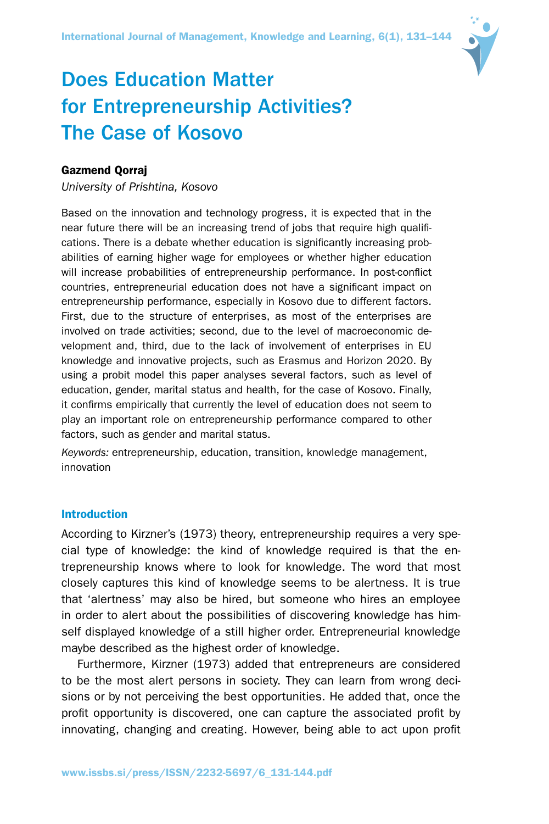

# Does Education Matter for Entrepreneurship Activities? The Case of Kosovo

# Gazmend Qorraj

*University of Prishtina, Kosovo*

Based on the innovation and technology progress, it is expected that in the near future there will be an increasing trend of jobs that require high qualifications. There is a debate whether education is significantly increasing probabilities of earning higher wage for employees or whether higher education will increase probabilities of entrepreneurship performance. In post-conflict countries, entrepreneurial education does not have a significant impact on entrepreneurship performance, especially in Kosovo due to different factors. First, due to the structure of enterprises, as most of the enterprises are involved on trade activities; second, due to the level of macroeconomic development and, third, due to the lack of involvement of enterprises in EU knowledge and innovative projects, such as Erasmus and Horizon 2020. By using a probit model this paper analyses several factors, such as level of education, gender, marital status and health, for the case of Kosovo. Finally, it confirms empirically that currently the level of education does not seem to play an important role on entrepreneurship performance compared to other factors, such as gender and marital status.

*Keywords:* entrepreneurship, education, transition, knowledge management, innovation

#### Introduction

According to Kirzner's (1973) theory, entrepreneurship requires a very special type of knowledge: the kind of knowledge required is that the entrepreneurship knows where to look for knowledge. The word that most closely captures this kind of knowledge seems to be alertness. It is true that 'alertness' may also be hired, but someone who hires an employee in order to alert about the possibilities of discovering knowledge has himself displayed knowledge of a still higher order. Entrepreneurial knowledge maybe described as the highest order of knowledge.

Furthermore, Kirzner (1973) added that entrepreneurs are considered to be the most alert persons in society. They can learn from wrong decisions or by not perceiving the best opportunities. He added that, once the profit opportunity is discovered, one can capture the associated profit by innovating, changing and creating. However, being able to act upon profit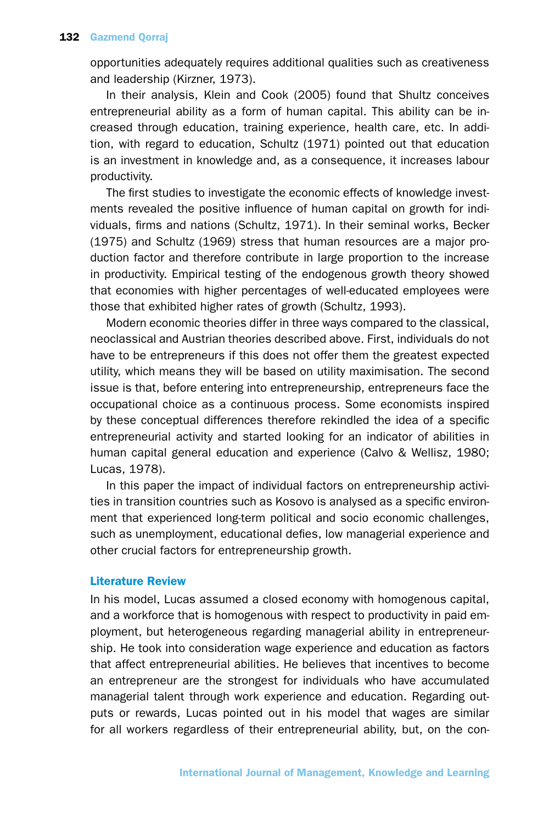opportunities adequately requires additional qualities such as creativeness and leadership (Kirzner, 1973).

In their analysis, Klein and Cook (2005) found that Shultz conceives entrepreneurial ability as a form of human capital. This ability can be increased through education, training experience, health care, etc. In addition, with regard to education, Schultz (1971) pointed out that education is an investment in knowledge and, as a consequence, it increases labour productivity.

The first studies to investigate the economic effects of knowledge investments revealed the positive influence of human capital on growth for individuals, firms and nations (Schultz, 1971). In their seminal works, Becker (1975) and Schultz (1969) stress that human resources are a major production factor and therefore contribute in large proportion to the increase in productivity. Empirical testing of the endogenous growth theory showed that economies with higher percentages of well-educated employees were those that exhibited higher rates of growth (Schultz, 1993).

Modern economic theories differ in three ways compared to the classical, neoclassical and Austrian theories described above. First, individuals do not have to be entrepreneurs if this does not offer them the greatest expected utility, which means they will be based on utility maximisation. The second issue is that, before entering into entrepreneurship, entrepreneurs face the occupational choice as a continuous process. Some economists inspired by these conceptual differences therefore rekindled the idea of a specific entrepreneurial activity and started looking for an indicator of abilities in human capital general education and experience (Calvo & Wellisz, 1980; Lucas, 1978).

In this paper the impact of individual factors on entrepreneurship activities in transition countries such as Kosovo is analysed as a specific environment that experienced long-term political and socio economic challenges, such as unemployment, educational defies, low managerial experience and other crucial factors for entrepreneurship growth.

# Literature Review

In his model, Lucas assumed a closed economy with homogenous capital, and a workforce that is homogenous with respect to productivity in paid employment, but heterogeneous regarding managerial ability in entrepreneurship. He took into consideration wage experience and education as factors that affect entrepreneurial abilities. He believes that incentives to become an entrepreneur are the strongest for individuals who have accumulated managerial talent through work experience and education. Regarding outputs or rewards, Lucas pointed out in his model that wages are similar for all workers regardless of their entrepreneurial ability, but, on the con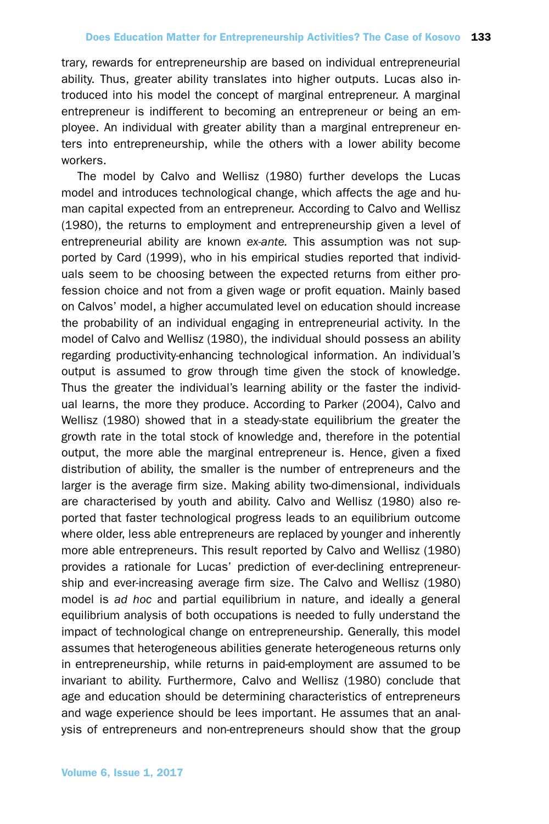trary, rewards for entrepreneurship are based on individual entrepreneurial ability. Thus, greater ability translates into higher outputs. Lucas also introduced into his model the concept of marginal entrepreneur. A marginal entrepreneur is indifferent to becoming an entrepreneur or being an employee. An individual with greater ability than a marginal entrepreneur enters into entrepreneurship, while the others with a lower ability become workers.

The model by Calvo and Wellisz (1980) further develops the Lucas model and introduces technological change, which affects the age and human capital expected from an entrepreneur. According to Calvo and Wellisz (1980), the returns to employment and entrepreneurship given a level of entrepreneurial ability are known *ex-ante.* This assumption was not supported by Card (1999), who in his empirical studies reported that individuals seem to be choosing between the expected returns from either profession choice and not from a given wage or profit equation. Mainly based on Calvos' model, a higher accumulated level on education should increase the probability of an individual engaging in entrepreneurial activity. In the model of Calvo and Wellisz (1980), the individual should possess an ability regarding productivity-enhancing technological information. An individual's output is assumed to grow through time given the stock of knowledge. Thus the greater the individual's learning ability or the faster the individual learns, the more they produce. According to Parker (2004), Calvo and Wellisz (1980) showed that in a steady-state equilibrium the greater the growth rate in the total stock of knowledge and, therefore in the potential output, the more able the marginal entrepreneur is. Hence, given a fixed distribution of ability, the smaller is the number of entrepreneurs and the larger is the average firm size. Making ability two-dimensional, individuals are characterised by youth and ability. Calvo and Wellisz (1980) also reported that faster technological progress leads to an equilibrium outcome where older, less able entrepreneurs are replaced by younger and inherently more able entrepreneurs. This result reported by Calvo and Wellisz (1980) provides a rationale for Lucas' prediction of ever-declining entrepreneurship and ever-increasing average firm size. The Calvo and Wellisz (1980) model is *ad hoc* and partial equilibrium in nature, and ideally a general equilibrium analysis of both occupations is needed to fully understand the impact of technological change on entrepreneurship. Generally, this model assumes that heterogeneous abilities generate heterogeneous returns only in entrepreneurship, while returns in paid-employment are assumed to be invariant to ability. Furthermore, Calvo and Wellisz (1980) conclude that age and education should be determining characteristics of entrepreneurs and wage experience should be lees important. He assumes that an analysis of entrepreneurs and non-entrepreneurs should show that the group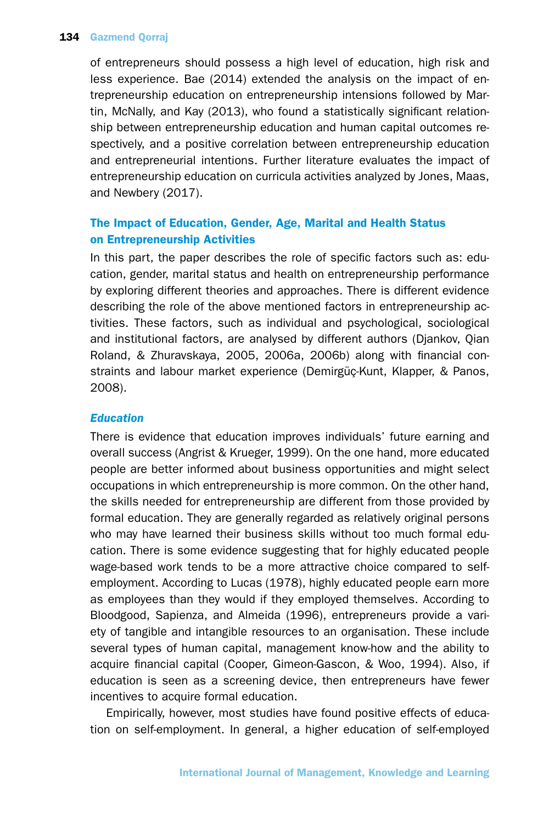## 134 Gazmend Qorraj

of entrepreneurs should possess a high level of education, high risk and less experience. Bae (2014) extended the analysis on the impact of entrepreneurship education on entrepreneurship intensions followed by Martin, McNally, and Kay (2013), who found a statistically significant relationship between entrepreneurship education and human capital outcomes respectively, and a positive correlation between entrepreneurship education and entrepreneurial intentions. Further literature evaluates the impact of entrepreneurship education on curricula activities analyzed by Jones, Maas, and Newbery (2017).

# The Impact of Education, Gender, Age, Marital and Health Status on Entrepreneurship Activities

In this part, the paper describes the role of specific factors such as: education, gender, marital status and health on entrepreneurship performance by exploring different theories and approaches. There is different evidence describing the role of the above mentioned factors in entrepreneurship activities. These factors, such as individual and psychological, sociological and institutional factors, are analysed by different authors (Djankov, Qian Roland, & Zhuravskaya, 2005, 2006a, 2006b) along with financial constraints and labour market experience (Demirgüç-Kunt, Klapper, & Panos, 2008).

# *Education*

There is evidence that education improves individuals' future earning and overall success (Angrist & Krueger, 1999). On the one hand, more educated people are better informed about business opportunities and might select occupations in which entrepreneurship is more common. On the other hand, the skills needed for entrepreneurship are different from those provided by formal education. They are generally regarded as relatively original persons who may have learned their business skills without too much formal education. There is some evidence suggesting that for highly educated people wage-based work tends to be a more attractive choice compared to selfemployment. According to Lucas (1978), highly educated people earn more as employees than they would if they employed themselves. According to Bloodgood, Sapienza, and Almeida (1996), entrepreneurs provide a variety of tangible and intangible resources to an organisation. These include several types of human capital, management know-how and the ability to acquire financial capital (Cooper, Gimeon-Gascon, & Woo, 1994). Also, if education is seen as a screening device, then entrepreneurs have fewer incentives to acquire formal education.

Empirically, however, most studies have found positive effects of education on self-employment. In general, a higher education of self-employed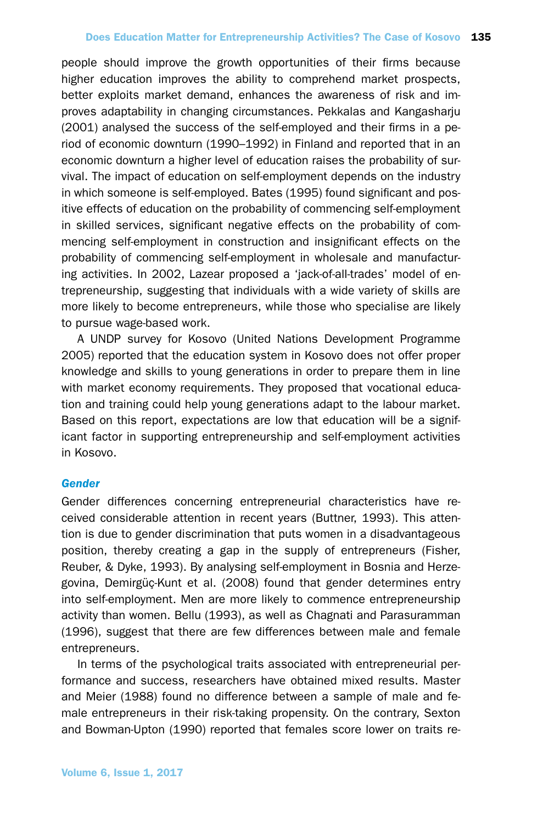people should improve the growth opportunities of their firms because higher education improves the ability to comprehend market prospects, better exploits market demand, enhances the awareness of risk and improves adaptability in changing circumstances. Pekkalas and Kangasharju (2001) analysed the success of the self-employed and their firms in a period of economic downturn (1990–1992) in Finland and reported that in an economic downturn a higher level of education raises the probability of survival. The impact of education on self-employment depends on the industry in which someone is self-employed. Bates (1995) found significant and positive effects of education on the probability of commencing self-employment in skilled services, significant negative effects on the probability of commencing self-employment in construction and insignificant effects on the probability of commencing self-employment in wholesale and manufacturing activities. In 2002, Lazear proposed a 'jack-of-all-trades' model of entrepreneurship, suggesting that individuals with a wide variety of skills are more likely to become entrepreneurs, while those who specialise are likely to pursue wage-based work.

A UNDP survey for Kosovo (United Nations Development Programme 2005) reported that the education system in Kosovo does not offer proper knowledge and skills to young generations in order to prepare them in line with market economy requirements. They proposed that vocational education and training could help young generations adapt to the labour market. Based on this report, expectations are low that education will be a significant factor in supporting entrepreneurship and self-employment activities in Kosovo.

#### *Gender*

Gender differences concerning entrepreneurial characteristics have received considerable attention in recent years (Buttner, 1993). This attention is due to gender discrimination that puts women in a disadvantageous position, thereby creating a gap in the supply of entrepreneurs (Fisher, Reuber, & Dyke, 1993). By analysing self-employment in Bosnia and Herzegovina, Demirgüç-Kunt et al. (2008) found that gender determines entry into self-employment. Men are more likely to commence entrepreneurship activity than women. Bellu (1993), as well as Chagnati and Parasuramman (1996), suggest that there are few differences between male and female entrepreneurs.

In terms of the psychological traits associated with entrepreneurial performance and success, researchers have obtained mixed results. Master and Meier (1988) found no difference between a sample of male and female entrepreneurs in their risk-taking propensity. On the contrary, Sexton and Bowman-Upton (1990) reported that females score lower on traits re-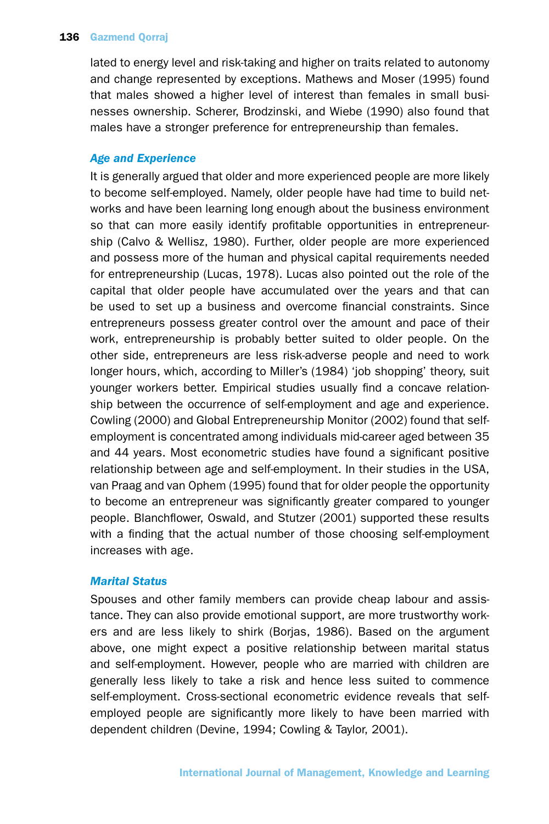## 136 Gazmend Qorraj

lated to energy level and risk-taking and higher on traits related to autonomy and change represented by exceptions. Mathews and Moser (1995) found that males showed a higher level of interest than females in small businesses ownership. Scherer, Brodzinski, and Wiebe (1990) also found that males have a stronger preference for entrepreneurship than females.

# *Age and Experience*

It is generally argued that older and more experienced people are more likely to become self-employed. Namely, older people have had time to build networks and have been learning long enough about the business environment so that can more easily identify profitable opportunities in entrepreneurship (Calvo & Wellisz, 1980). Further, older people are more experienced and possess more of the human and physical capital requirements needed for entrepreneurship (Lucas, 1978). Lucas also pointed out the role of the capital that older people have accumulated over the years and that can be used to set up a business and overcome financial constraints. Since entrepreneurs possess greater control over the amount and pace of their work, entrepreneurship is probably better suited to older people. On the other side, entrepreneurs are less risk-adverse people and need to work longer hours, which, according to Miller's (1984) 'job shopping' theory, suit younger workers better. Empirical studies usually find a concave relationship between the occurrence of self-employment and age and experience. Cowling (2000) and Global Entrepreneurship Monitor (2002) found that selfemployment is concentrated among individuals mid-career aged between 35 and 44 years. Most econometric studies have found a significant positive relationship between age and self-employment. In their studies in the USA, van Praag and van Ophem (1995) found that for older people the opportunity to become an entrepreneur was significantly greater compared to younger people. Blanchflower, Oswald, and Stutzer (2001) supported these results with a finding that the actual number of those choosing self-employment increases with age.

# *Marital Status*

Spouses and other family members can provide cheap labour and assistance. They can also provide emotional support, are more trustworthy workers and are less likely to shirk (Borjas, 1986). Based on the argument above, one might expect a positive relationship between marital status and self-employment. However, people who are married with children are generally less likely to take a risk and hence less suited to commence self-employment. Cross-sectional econometric evidence reveals that selfemployed people are significantly more likely to have been married with dependent children (Devine, 1994; Cowling & Taylor, 2001).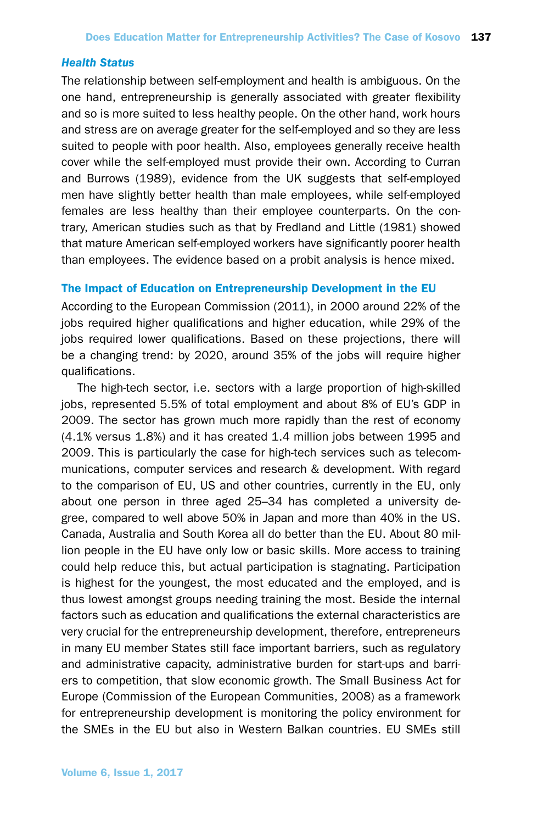#### *Health Status*

The relationship between self-employment and health is ambiguous. On the one hand, entrepreneurship is generally associated with greater flexibility and so is more suited to less healthy people. On the other hand, work hours and stress are on average greater for the self-employed and so they are less suited to people with poor health. Also, employees generally receive health cover while the self-employed must provide their own. According to Curran and Burrows (1989), evidence from the UK suggests that self-employed men have slightly better health than male employees, while self-employed females are less healthy than their employee counterparts. On the contrary, American studies such as that by Fredland and Little (1981) showed that mature American self-employed workers have significantly poorer health than employees. The evidence based on a probit analysis is hence mixed.

## The Impact of Education on Entrepreneurship Development in the EU

According to the European Commission (2011), in 2000 around 22% of the jobs required higher qualifications and higher education, while 29% of the jobs required lower qualifications. Based on these projections, there will be a changing trend: by 2020, around 35% of the jobs will require higher qualifications.

The high-tech sector, i.e. sectors with a large proportion of high-skilled jobs, represented 5.5% of total employment and about 8% of EU's GDP in 2009. The sector has grown much more rapidly than the rest of economy (4.1% versus 1.8%) and it has created 1.4 million jobs between 1995 and 2009. This is particularly the case for high-tech services such as telecommunications, computer services and research & development. With regard to the comparison of EU, US and other countries, currently in the EU, only about one person in three aged 25–34 has completed a university degree, compared to well above 50% in Japan and more than 40% in the US. Canada, Australia and South Korea all do better than the EU. About 80 million people in the EU have only low or basic skills. More access to training could help reduce this, but actual participation is stagnating. Participation is highest for the youngest, the most educated and the employed, and is thus lowest amongst groups needing training the most. Beside the internal factors such as education and qualifications the external characteristics are very crucial for the entrepreneurship development, therefore, entrepreneurs in many EU member States still face important barriers, such as regulatory and administrative capacity, administrative burden for start-ups and barriers to competition, that slow economic growth. The Small Business Act for Europe (Commission of the European Communities, 2008) as a framework for entrepreneurship development is monitoring the policy environment for the SMEs in the EU but also in Western Balkan countries. EU SMEs still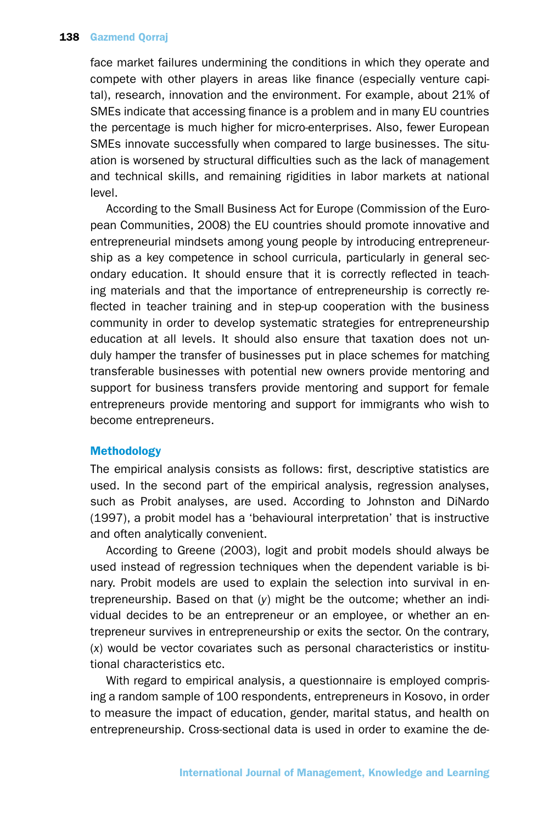face market failures undermining the conditions in which they operate and compete with other players in areas like finance (especially venture capital), research, innovation and the environment. For example, about 21% of SMEs indicate that accessing finance is a problem and in many EU countries the percentage is much higher for micro-enterprises. Also, fewer European SMEs innovate successfully when compared to large businesses. The situation is worsened by structural difficulties such as the lack of management and technical skills, and remaining rigidities in labor markets at national level.

According to the Small Business Act for Europe (Commission of the European Communities, 2008) the EU countries should promote innovative and entrepreneurial mindsets among young people by introducing entrepreneurship as a key competence in school curricula, particularly in general secondary education. It should ensure that it is correctly reflected in teaching materials and that the importance of entrepreneurship is correctly reflected in teacher training and in step-up cooperation with the business community in order to develop systematic strategies for entrepreneurship education at all levels. It should also ensure that taxation does not unduly hamper the transfer of businesses put in place schemes for matching transferable businesses with potential new owners provide mentoring and support for business transfers provide mentoring and support for female entrepreneurs provide mentoring and support for immigrants who wish to become entrepreneurs.

# Methodology

The empirical analysis consists as follows: first, descriptive statistics are used. In the second part of the empirical analysis, regression analyses, such as Probit analyses, are used. According to Johnston and DiNardo (1997), a probit model has a 'behavioural interpretation' that is instructive and often analytically convenient.

According to Greene (2003), logit and probit models should always be used instead of regression techniques when the dependent variable is binary. Probit models are used to explain the selection into survival in entrepreneurship. Based on that (*y*) might be the outcome; whether an individual decides to be an entrepreneur or an employee, or whether an entrepreneur survives in entrepreneurship or exits the sector. On the contrary, (*x*) would be vector covariates such as personal characteristics or institutional characteristics etc.

With regard to empirical analysis, a questionnaire is employed comprising a random sample of 100 respondents, entrepreneurs in Kosovo, in order to measure the impact of education, gender, marital status, and health on entrepreneurship. Cross-sectional data is used in order to examine the de-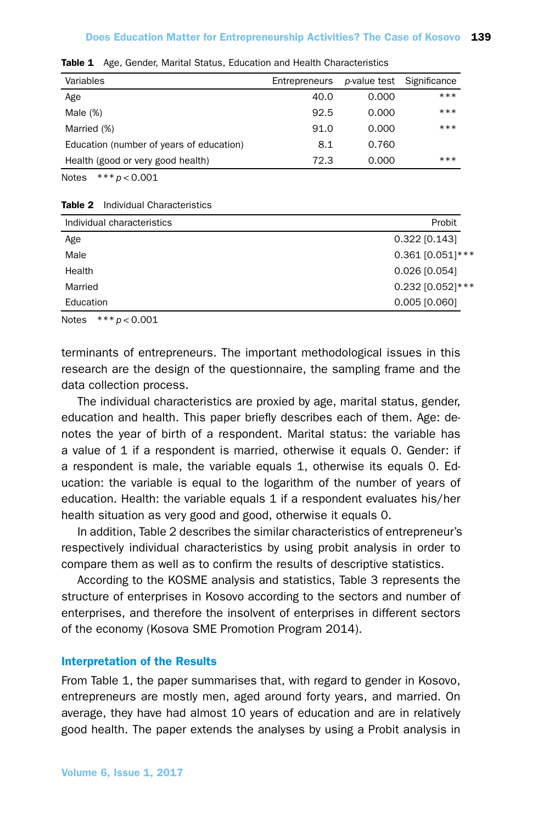| Variables                                | Entrepreneurs |       | <i>p</i> -value test Significance |
|------------------------------------------|---------------|-------|-----------------------------------|
| Age                                      | 40.0          | 0.000 | ***                               |
| Male $(\%)$                              | 92.5          | 0.000 | ***                               |
| Married (%)                              | 91.0          | 0.000 | ***                               |
| Education (number of years of education) | 8.1           | 0.760 |                                   |
| Health (good or very good health)        | 72.3          | 0.000 | ***                               |

Table 1 Age, Gender, Marital Status, Education and Health Characteristics

Notes \*\*\**p* < 0.001

#### Table 2 Individual Characteristics

| Individual characteristics | Probit             |
|----------------------------|--------------------|
| Age                        | $0.322$ [0.143]    |
| Male                       | $0.361$ [0.051]*** |
| Health                     | $0.026$ [0.054]    |
| Married                    | $0.232$ [0.052]*** |
| Education                  | $0.005$ [0.060]    |
|                            |                    |

Notes \*\*\**p* < 0.001

terminants of entrepreneurs. The important methodological issues in this research are the design of the questionnaire, the sampling frame and the data collection process.

The individual characteristics are proxied by age, marital status, gender, education and health. This paper briefly describes each of them. Age: denotes the year of birth of a respondent. Marital status: the variable has a value of 1 if a respondent is married, otherwise it equals 0. Gender: if a respondent is male, the variable equals 1, otherwise its equals 0. Education: the variable is equal to the logarithm of the number of years of education. Health: the variable equals 1 if a respondent evaluates his/her health situation as very good and good, otherwise it equals 0.

In addition, Table 2 describes the similar characteristics of entrepreneur's respectively individual characteristics by using probit analysis in order to compare them as well as to confirm the results of descriptive statistics.

According to the KOSME analysis and statistics, Table 3 represents the structure of enterprises in Kosovo according to the sectors and number of enterprises, and therefore the insolvent of enterprises in different sectors of the economy (Kosova SME Promotion Program 2014).

#### Interpretation of the Results

From Table 1, the paper summarises that, with regard to gender in Kosovo, entrepreneurs are mostly men, aged around forty years, and married. On average, they have had almost 10 years of education and are in relatively good health. The paper extends the analyses by using a Probit analysis in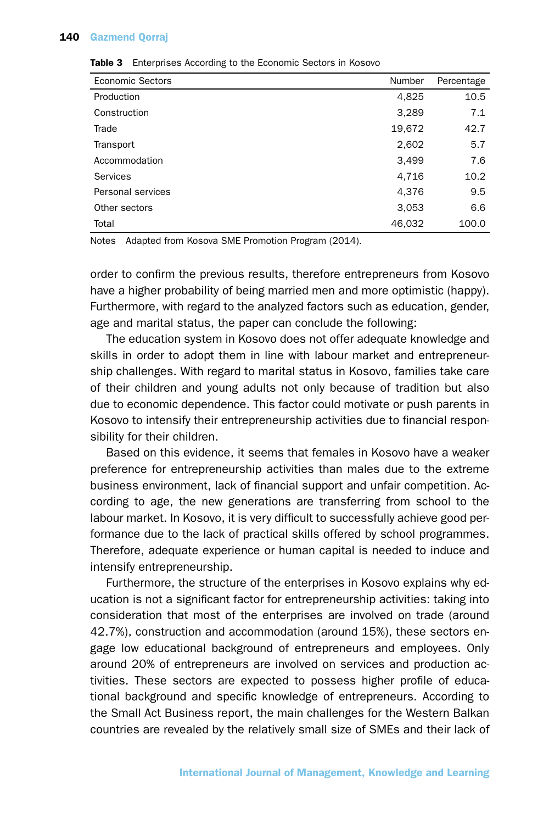## 140 Gazmend Qorraj

| <b>Economic Sectors</b> | Number | Percentage |
|-------------------------|--------|------------|
| Production              | 4,825  | 10.5       |
| Construction            | 3,289  | 7.1        |
| Trade                   | 19,672 | 42.7       |
| Transport               | 2,602  | 5.7        |
| Accommodation           | 3,499  | 7.6        |
| Services                | 4,716  | 10.2       |
| Personal services       | 4,376  | 9.5        |
| Other sectors           | 3,053  | 6.6        |
| Total                   | 46,032 | 100.0      |

#### Table 3 Enterprises According to the Economic Sectors in Kosovo

Notes Adapted from Kosova SME Promotion Program (2014).

order to confirm the previous results, therefore entrepreneurs from Kosovo have a higher probability of being married men and more optimistic (happy). Furthermore, with regard to the analyzed factors such as education, gender, age and marital status, the paper can conclude the following:

The education system in Kosovo does not offer adequate knowledge and skills in order to adopt them in line with labour market and entrepreneurship challenges. With regard to marital status in Kosovo, families take care of their children and young adults not only because of tradition but also due to economic dependence. This factor could motivate or push parents in Kosovo to intensify their entrepreneurship activities due to financial responsibility for their children.

Based on this evidence, it seems that females in Kosovo have a weaker preference for entrepreneurship activities than males due to the extreme business environment, lack of financial support and unfair competition. According to age, the new generations are transferring from school to the labour market. In Kosovo, it is very difficult to successfully achieve good performance due to the lack of practical skills offered by school programmes. Therefore, adequate experience or human capital is needed to induce and intensify entrepreneurship.

Furthermore, the structure of the enterprises in Kosovo explains why education is not a significant factor for entrepreneurship activities: taking into consideration that most of the enterprises are involved on trade (around 42.7%), construction and accommodation (around 15%), these sectors engage low educational background of entrepreneurs and employees. Only around 20% of entrepreneurs are involved on services and production activities. These sectors are expected to possess higher profile of educational background and specific knowledge of entrepreneurs. According to the Small Act Business report, the main challenges for the Western Balkan countries are revealed by the relatively small size of SMEs and their lack of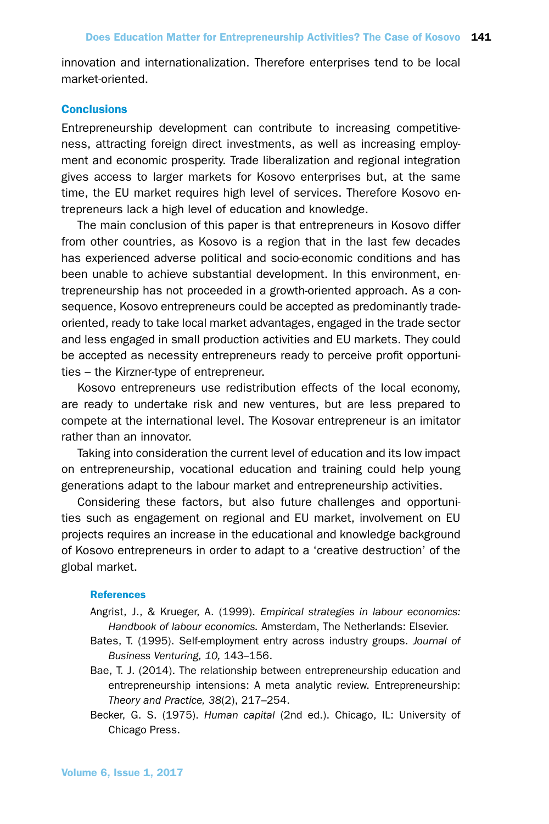innovation and internationalization. Therefore enterprises tend to be local market-oriented.

# **Conclusions**

Entrepreneurship development can contribute to increasing competitiveness, attracting foreign direct investments, as well as increasing employment and economic prosperity. Trade liberalization and regional integration gives access to larger markets for Kosovo enterprises but, at the same time, the EU market requires high level of services. Therefore Kosovo entrepreneurs lack a high level of education and knowledge.

The main conclusion of this paper is that entrepreneurs in Kosovo differ from other countries, as Kosovo is a region that in the last few decades has experienced adverse political and socio-economic conditions and has been unable to achieve substantial development. In this environment, entrepreneurship has not proceeded in a growth-oriented approach. As a consequence, Kosovo entrepreneurs could be accepted as predominantly tradeoriented, ready to take local market advantages, engaged in the trade sector and less engaged in small production activities and EU markets. They could be accepted as necessity entrepreneurs ready to perceive profit opportunities – the Kirzner-type of entrepreneur.

Kosovo entrepreneurs use redistribution effects of the local economy, are ready to undertake risk and new ventures, but are less prepared to compete at the international level. The Kosovar entrepreneur is an imitator rather than an innovator.

Taking into consideration the current level of education and its low impact on entrepreneurship, vocational education and training could help young generations adapt to the labour market and entrepreneurship activities.

Considering these factors, but also future challenges and opportunities such as engagement on regional and EU market, involvement on EU projects requires an increase in the educational and knowledge background of Kosovo entrepreneurs in order to adapt to a 'creative destruction' of the global market.

#### **References**

- Angrist, J., & Krueger, A. (1999). *Empirical strategies in labour economics: Handbook of labour economics.* Amsterdam, The Netherlands: Elsevier.
- Bates, T. (1995). Self-employment entry across industry groups. *Journal of Business Venturing, 10,* 143–156.
- Bae, T. J. (2014). The relationship between entrepreneurship education and entrepreneurship intensions: A meta analytic review. Entrepreneurship: *Theory and Practice, 38*(2), 217–254.
- Becker, G. S. (1975). *Human capital* (2nd ed.). Chicago, IL: University of Chicago Press.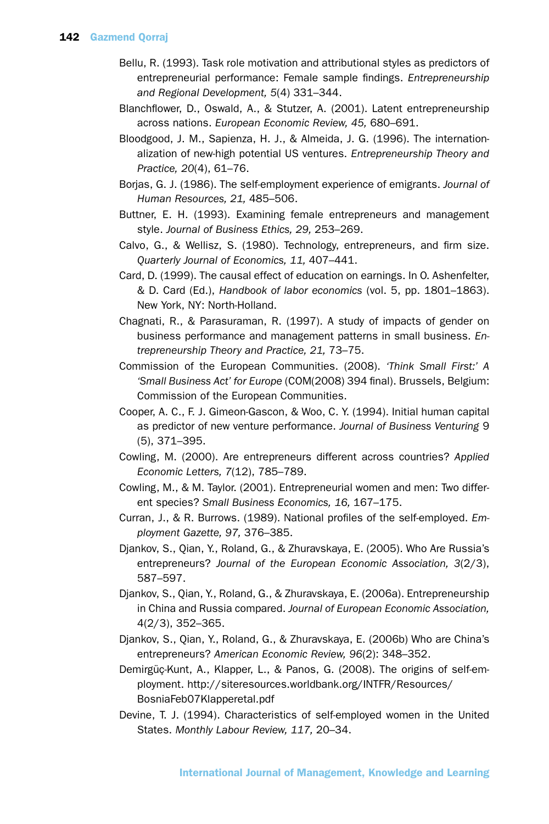- Bellu, R. (1993). Task role motivation and attributional styles as predictors of entrepreneurial performance: Female sample findings. *Entrepreneurship and Regional Development, 5*(4) 331–344.
- Blanchflower, D., Oswald, A., & Stutzer, A. (2001). Latent entrepreneurship across nations. *European Economic Review, 45,* 680–691.
- Bloodgood, J. M., Sapienza, H. J., & Almeida, J. G. (1996). The internationalization of new-high potential US ventures. *Entrepreneurship Theory and Practice, 20*(4), 61–76.
- Borjas, G. J. (1986). The self-employment experience of emigrants. *Journal of Human Resources, 21,* 485–506.
- Buttner, E. H. (1993). Examining female entrepreneurs and management style. *Journal of Business Ethics, 29,* 253–269.
- Calvo, G., & Wellisz, S. (1980). Technology, entrepreneurs, and firm size. *Quarterly Journal of Economics, 11,* 407–441.
- Card, D. (1999). The causal effect of education on earnings. In O. Ashenfelter, & D. Card (Ed.), *Handbook of labor economics* (vol. 5, pp. 1801–1863). New York, NY: North-Holland.
- Chagnati, R., & Parasuraman, R. (1997). A study of impacts of gender on business performance and management patterns in small business. *Entrepreneurship Theory and Practice, 21,* 73–75.
- Commission of the European Communities. (2008). *'Think Small First:' A 'Small Business Act' for Europe* (COM(2008) 394 final). Brussels, Belgium: Commission of the European Communities.
- Cooper, A. C., F. J. Gimeon-Gascon, & Woo, C. Y. (1994). Initial human capital as predictor of new venture performance. *Journal of Business Venturing* 9 (5), 371–395.
- Cowling, M. (2000). Are entrepreneurs different across countries? *Applied Economic Letters, 7*(12), 785–789.
- Cowling, M., & M. Taylor. (2001). Entrepreneurial women and men: Two different species? *Small Business Economics, 16,* 167–175.
- Curran, J., & R. Burrows. (1989). National profiles of the self-employed. *Employment Gazette, 97,* 376–385.
- Djankov, S., Qian, Y., Roland, G., & Zhuravskaya, E. (2005). Who Are Russia's entrepreneurs? *Journal of the European Economic Association, 3*(2/3), 587–597.
- Djankov, S., Qian, Y., Roland, G., & Zhuravskaya, E. (2006a). Entrepreneurship in China and Russia compared. *Journal of European Economic Association,* 4(2/3), 352–365.
- Djankov, S., Qian, Y., Roland, G., & Zhuravskaya, E. (2006b) Who are China's entrepreneurs? *American Economic Review, 96*(2): 348–352.
- Demirgüç-Kunt, A., Klapper, L., & Panos, G. (2008). The origins of self-employment. http://siteresources.worldbank.org/INTFR/Resources/ BosniaFeb07Klapperetal.pdf
- Devine, T. J. (1994). Characteristics of self-employed women in the United States. *Monthly Labour Review, 117,* 20–34.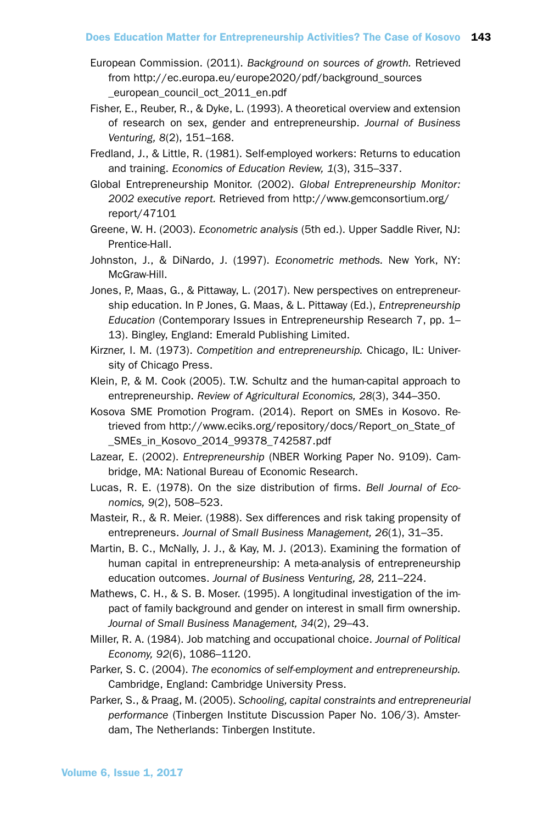- European Commission. (2011). *Background on sources of growth.* Retrieved from http://ec.europa.eu/europe2020/pdf/background\_sources \_european\_council\_oct\_2011\_en.pdf
- Fisher, E., Reuber, R., & Dyke, L. (1993). A theoretical overview and extension of research on sex, gender and entrepreneurship. *Journal of Business Venturing, 8*(2), 151–168.
- Fredland, J., & Little, R. (1981). Self-employed workers: Returns to education and training. *Economics of Education Review, 1*(3), 315–337.
- Global Entrepreneurship Monitor. (2002). *Global Entrepreneurship Monitor: 2002 executive report.* Retrieved from http://www.gemconsortium.org/ report/47101
- Greene, W. H. (2003). *Econometric analysis* (5th ed.). Upper Saddle River, NJ: Prentice-Hall.
- Johnston, J., & DiNardo, J. (1997). *Econometric methods.* New York, NY: McGraw-Hill.
- Jones, P., Maas, G., & Pittaway, L. (2017). New perspectives on entrepreneurship education. In P. Jones, G. Maas, & L. Pittaway (Ed.), *Entrepreneurship Education* (Contemporary Issues in Entrepreneurship Research 7, pp. 1– 13). Bingley, England: Emerald Publishing Limited.
- Kirzner, I. M. (1973). *Competition and entrepreneurship.* Chicago, IL: University of Chicago Press.
- Klein, P., & M. Cook (2005). T.W. Schultz and the human-capital approach to entrepreneurship. *Review of Agricultural Economics, 28*(3), 344–350.
- Kosova SME Promotion Program. (2014). Report on SMEs in Kosovo. Retrieved from http://www.eciks.org/repository/docs/Report\_on\_State\_of \_SMEs\_in\_Kosovo\_2014\_99378\_742587.pdf
- Lazear, E. (2002). *Entrepreneurship* (NBER Working Paper No. 9109). Cambridge, MA: National Bureau of Economic Research.
- Lucas, R. E. (1978). On the size distribution of firms. *Bell Journal of Economics, 9*(2), 508–523.
- Masteir, R., & R. Meier. (1988). Sex differences and risk taking propensity of entrepreneurs. *Journal of Small Business Management, 26*(1), 31–35.
- Martin, B. C., McNally, J. J., & Kay, M. J. (2013). Examining the formation of human capital in entrepreneurship: A meta-analysis of entrepreneurship education outcomes. *Journal of Business Venturing, 28,* 211–224.
- Mathews, C. H., & S. B. Moser. (1995). A longitudinal investigation of the impact of family background and gender on interest in small firm ownership. *Journal of Small Business Management, 34*(2), 29–43.
- Miller, R. A. (1984). Job matching and occupational choice. *Journal of Political Economy, 92*(6), 1086–1120.
- Parker, S. C. (2004). *The economics of self-employment and entrepreneurship.* Cambridge, England: Cambridge University Press.
- Parker, S., & Praag, M. (2005). *Schooling, capital constraints and entrepreneurial performance* (Tinbergen Institute Discussion Paper No. 106/3). Amsterdam, The Netherlands: Tinbergen Institute.